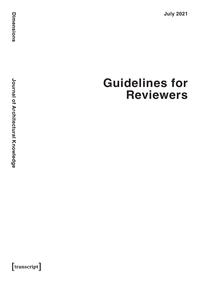**July 2021**

 $[$ transcript $]$ 

# **Guidelines for Reviewers**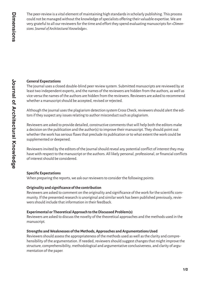The peer-review is a vital element of maintaining high standards in scholarly publishing. This process could not be managed without the knowledge of specialists offering their valuable expertise. We are very grateful to all our reviewers for the time and effort they spend evaluating manuscripts for »*Dimensions. Journal of Architectural Knowledge*«.

# **General Expectations**

The journal uses a closed double-blind peer review system. Submitted manuscripts are reviewed by at least two independent experts, and the names of the reviewers are hidden from the authors, as well as vice-versa the names of the authors are hidden from the reviewers. Reviewers are asked to recommend whether a manuscript should be accepted, revised or rejected.

Although the journal uses the plagiarism detection system Cross Check, reviewers should alert the editors if they suspect any issues relating to author misconduct such as plagiarism.

Reviewers are asked to provide detailed, constructive comments that will help both the editors make a decision on the publication and the author(s) to improve their manuscript. They should point out whether the work has serious flaws that preclude its publication or to what extent the work could be supplemented or deepened.

Reviewers invited by the editors of the journal should reveal any potential conflict of interest they may have with respect to the manuscript or the authors. All likely personal, professional, or financial conflicts of interest should be considered.

# **Specific Expectations**

When preparing the reports, we ask our reviewers to consider the following points:

# **Originality and significance of the contribution**

Reviewers are asked to comment on the originality and significance of the work for the scientific community. If the presented research is unoriginal and similar work has been published previously, reviewers should include that information in their feedback.

# **Experimental or Theoretical Approach to the Discussed Problem(s)**

Reviewers are asked to discuss the novelty of the theoretical approaches and the methods used in the manuscript.

## **Strengths and Weaknesses of the Methods, Approaches and Argumentations Used**

Reviewers should assess the appropriateness of the methods used as well as the clarity and comprehensibility of the argumentation. If needed, reviewers should suggest changes that might improve the structure, comprehensibility, methodological and argumentative conclusiveness, and clarity of argumentation of the paper.